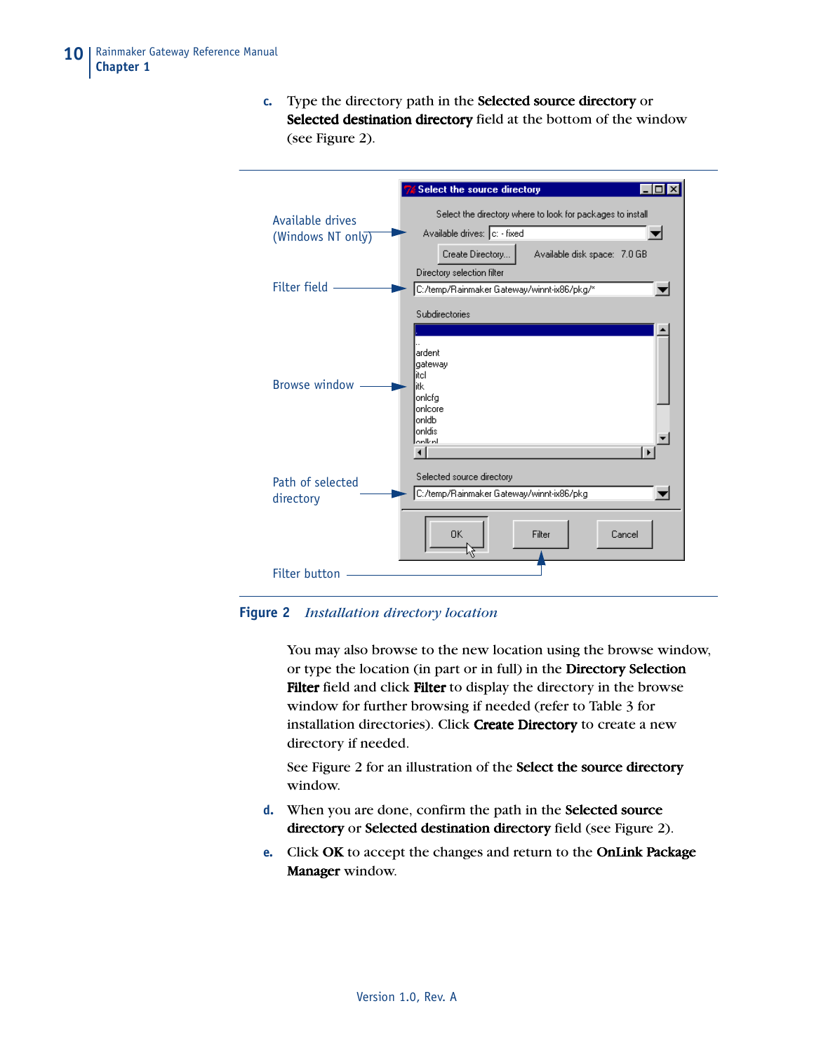**c.** Type the directory path in the **Selected source directory** or Selected destination directory field at the bottom of the window (see Figure 2).



**Figure 2** *Installation directory location*

You may also browse to the new location using the browse window, or type the location (in part or in full) in the **Directory Selection** Filter field and click Filter to display the directory in the browse window for further browsing if needed (refer to Table 3 for installation directories). Click Create Directory to create a new directory if needed.

See Figure 2 for an illustration of the Select the source directory window.

- **d.** When you are done, confirm the path in the **Selected source** directory or Selected destination directory field (see Figure 2).
- **e.** Click OK to accept the changes and return to the OnLink Package Manager window.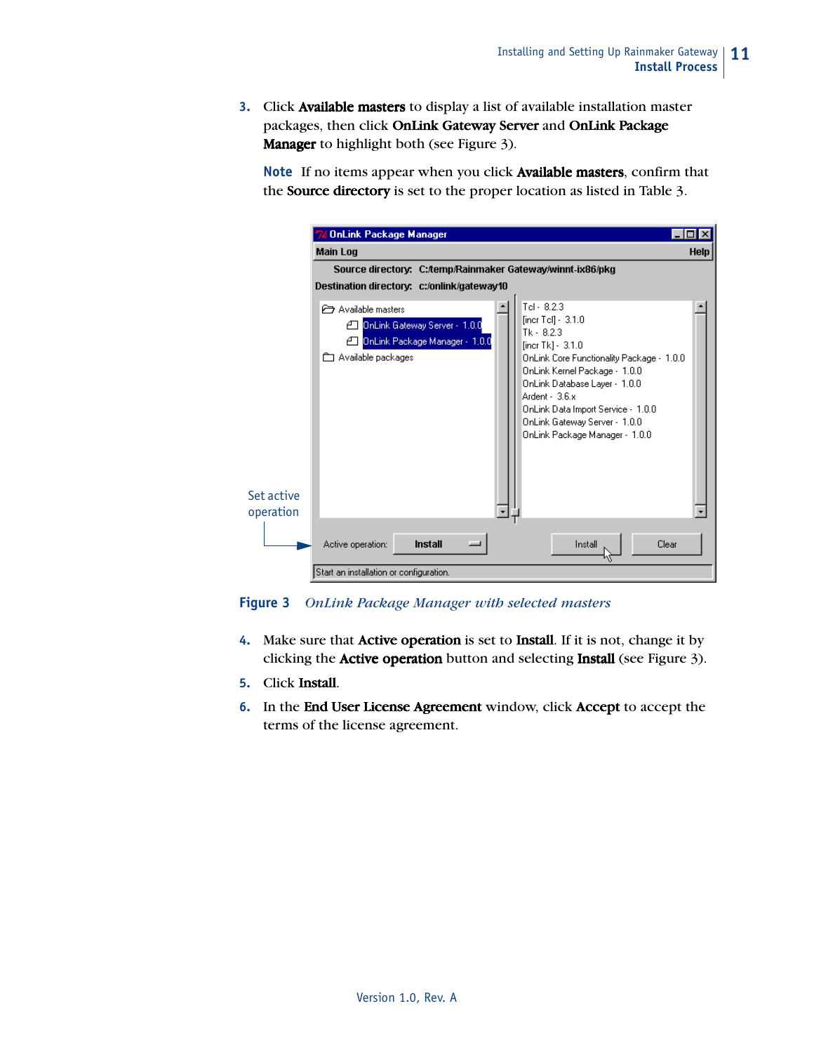**3.** Click Available masters to display a list of available installation master packages, then click OnLink Gateway Server and OnLink Package Manager to highlight both (see Figure 3).

Note If no items appear when you click Available masters, confirm that the Source directory is set to the proper location as listed in Table 3.

|                                            | <b>76 OnLink Package Manager</b>                                                                                                                                                                                                                                                                                                                                                                                                     |  |  |  |  |  |  |  |  |  |
|--------------------------------------------|--------------------------------------------------------------------------------------------------------------------------------------------------------------------------------------------------------------------------------------------------------------------------------------------------------------------------------------------------------------------------------------------------------------------------------------|--|--|--|--|--|--|--|--|--|
|                                            | <b>Main Log</b><br><b>Help</b>                                                                                                                                                                                                                                                                                                                                                                                                       |  |  |  |  |  |  |  |  |  |
|                                            | Source directory: C:/temp/Rainmaker Gateway/winnt-ix86/pkg                                                                                                                                                                                                                                                                                                                                                                           |  |  |  |  |  |  |  |  |  |
| Destination directory: c:/onlink/gateway10 |                                                                                                                                                                                                                                                                                                                                                                                                                                      |  |  |  |  |  |  |  |  |  |
| Set active<br>operation                    | $Tel - 8.2.3$<br>Available masters<br>[incr Tel] - 3.1.0<br>4 OnLink Gateway Server - 1.0.0<br>$Tk - 8.2.3$<br>4 OnLink Package Manager - 1.0.0<br>[incr Tk] - 3.1.0<br>Available packages<br>OnLink Core Functionality Package - 1.0.0<br>OnLink Kernel Package - 1.0.0<br>OnLink Database Layer - 1.0.0<br>Ardent - 3.6.x<br>OnLink Data Import Service - 1.0.0<br>OnLink Gateway Server - 1.0.0<br>OnLink Package Manager - 1.0.0 |  |  |  |  |  |  |  |  |  |
|                                            | Install<br>Clear<br>Active operation:<br>Install                                                                                                                                                                                                                                                                                                                                                                                     |  |  |  |  |  |  |  |  |  |
|                                            | Start an installation or configuration.                                                                                                                                                                                                                                                                                                                                                                                              |  |  |  |  |  |  |  |  |  |

**Figure 3** *OnLink Package Manager with selected masters*

- **4.** Make sure that **Active operation** is set to **Install**. If it is not, change it by clicking the **Active operation** button and selecting **Install** (see Figure 3).
- **5.** Click Install.
- **6.** In the End User License Agreement window, click Accept to accept the terms of the license agreement.